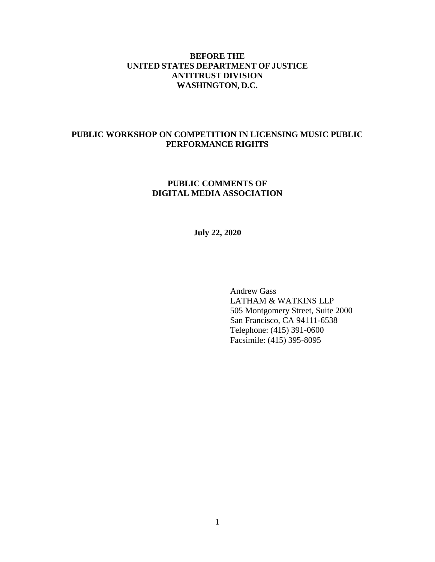## **BEFORE THE UNITED STATES DEPARTMENT OF JUSTICE ANTITRUST DIVISION WASHINGTON, D.C.**

## **PUBLIC WORKSHOP ON COMPETITION IN LICENSING MUSIC PUBLIC PERFORMANCE RIGHTS**

## **PUBLIC COMMENTS OF DIGITAL MEDIA ASSOCIATION**

**July 22, 2020** 

Andrew Gass LATHAM & WATKINS LLP 505 Montgomery Street, Suite 2000 San Francisco, CA 94111-6538 Telephone: (415) 391-0600 Facsimile: (415) 395-8095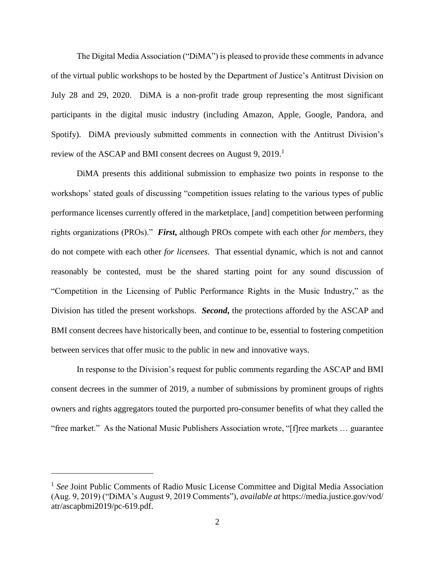The Digital Media Association ("DiMA") is pleased to provide these comments in advance The Digital Media Association ("DiMA") is pleased to provide these comments in advance<br>of the virtual public workshops to be hosted by the Department of Justice's Antitrust Division on July 28 and 29, 2020. DiMA is a non-profit trade group representing the most significant participants in the digital music industry (including Amazon, Apple, Google, Pandora, and review of the ASCAP and BMI consent decrees on August 9,  $2019$ .<sup>1</sup> Spotify). DiMA previously submitted comments in connection with the Antitrust Division's

The Digital Media Association ("DiMA") is pleased to provide these comments in advance<br>irtual public workshops to be hosted by the Department of Justice's Antitrust Division on<br>and 29, 2020. DiMA is a non-profit trade gro DiMA presents this additional submission to emphasize two points in response to the workshops' stated goals of discussing "competition issues relating to the various types of public performance licenses currently offered in the marketplace, [and] competition between performing rights organizations (PROs)." *First***,** although PROs compete with each other *for members*, they do not compete with each other *for licensees*. That essential dynamic, which is not and cannot reasonably be contested, must be the shared starting point for any sound discussion of "Competition in the Licensing of Public Performance Rights in the Music Industry," as the Division has titled the present workshops. *Second***,** the protections afforded by the ASCAP and BMI consent decrees have historically been, and continue to be, essential to fostering competition between services that offer music to the public in new and innovative ways.

 consent decrees in the summer of 2019, a number of submissions by prominent groups of rights "free market." As the National Music Publishers Association wrote, "[f]ree markets … guarantee In response to the Division's request for public comments regarding the ASCAP and BMI owners and rights aggregators touted the purported pro-consumer benefits of what they called the

<sup>&</sup>lt;sup>1</sup> See Joint Public Comments of Radio Music License Committee and Digital Media Association (Aug. 9, 2019) ("DiMA's August 9, 2019 Comments"), *available at* https://media.justice.gov/vod/ atr/ascapbmi2019/pc-619.pdf.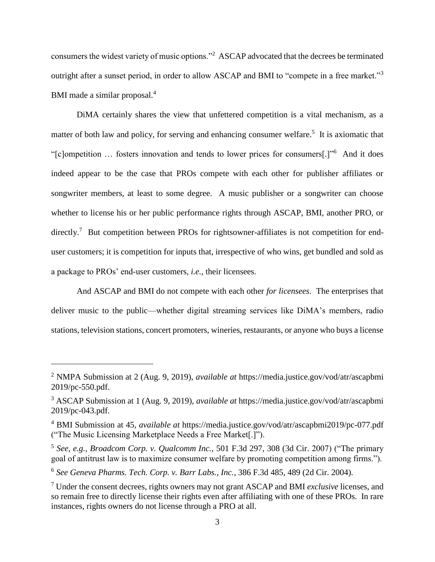consumers the widest variety of music options."<sup>2</sup> ASCAP advocated that the decrees be terminated<br>outright after a sunset period, in order to allow ASCAP and BMI to "compete in a free market."<sup>3</sup> outright after a sunset period, in order to allow ASCAP and BMI to "compete in a free market."<sup>3</sup> BMI made a similar proposal.<sup>4</sup>

matter of both law and policy, for serving and enhancing consumer welfare.<sup>5</sup> It is axiomatic that "[c]ompetition … fosters innovation and tends to lower prices for consumers[.]"6 And it does indeed appear to be the case that PROs compete with each other for publisher affiliates or songwriter members, at least to some degree. A music publisher or a songwriter can choose whether to license his or her public performance rights through ASCAP, BMI, another PRO, or user customers; it is competition for inputs that, irrespective of who wins, get bundled and sold as DiMA certainly shares the view that unfettered competition is a vital mechanism, as a directly.<sup>7</sup> But competition between PROs for rightsowner-affiliates is not competition for enda package to PROs' end-user customers, *i.e.*, their licensees.

 And ASCAP and BMI do not compete with each other *for licensees*. The enterprises that stations, television stations, concert promoters, wineries, restaurants, or anyone who buys a license deliver music to the public—whether digital streaming services like DiMA's members, radio

<sup>2</sup> NMPA Submission at 2 (Aug. 9, 2019), *available at* https://media.justice.gov/vod/atr/ascapbmi 2019/pc-550.pdf.

<sup>3</sup> ASCAP Submission at 1 (Aug. 9, 2019), *available at* https://media.justice.gov/vod/atr/ascapbmi 2019/pc-043.pdf.

<sup>4</sup> BMI Submission at 45, *available at* https://media.justice.gov/vod/atr/ascapbmi2019/pc-077.pdf ("The Music Licensing Marketplace Needs a Free Market[.]").

<sup>5</sup>*See, e.g.*, *Broadcom Corp. v. Qualcomm Inc.*, 501 F.3d 297, 308 (3d Cir. 2007) ("The primary goal of antitrust law is to maximize consumer welfare by promoting competition among firms.").

<sup>6</sup>*See Geneva Pharms. Tech. Corp. v. Barr Labs., Inc.*, 386 F.3d 485, 489 (2d Cir. 2004).

<sup>7</sup> Under the consent decrees, rights owners may not grant ASCAP and BMI *exclusive* licenses, and so remain free to directly license their rights even after affiliating with one of these PROs. In rare instances, rights owners do not license through a PRO at all.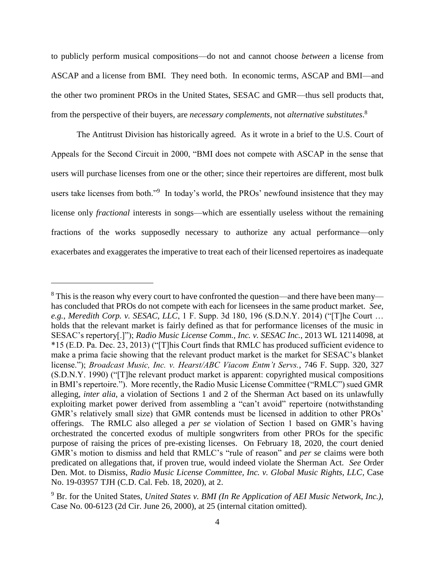to publicly perform musical compositions—do not and cannot choose *between* a license from ASCAP and a license from BMI. They need both. In economic terms, ASCAP and BMI—and the other two prominent PROs in the United States, SESAC and GMR—thus sell products that, from the perspective of their buyers, are *necessary complements*, not *alternative substitutes*. 8

The Antitrust Division has historically agreed. As it wrote in a brief to the U.S. Court of Appeals for the Second Circuit in 2000, "BMI does not compete with ASCAP in the sense that users will purchase licenses from one or the other; since their repertoires are different, most bulk users take licenses from both."<sup>9</sup> In today's world, the PROs' newfound insistence that they may license only *fractional* interests in songs—which are essentially useless without the remaining fractions of the works supposedly necessary to authorize any actual performance—only exacerbates and exaggerates the imperative to treat each of their licensed repertoires as inadequate

<sup>&</sup>lt;sup>8</sup> This is the reason why every court to have confronted the question—and there have been many has concluded that PROs do not compete with each for licensees in the same product market. *See, e.g.*, *Meredith Corp. v. SESAC, LLC*, 1 F. Supp. 3d 180, 196 (S.D.N.Y. 2014) ("[T]he Court … holds that the relevant market is fairly defined as that for performance licenses of the music in SESAC's repertory[.]"); *Radio Music License Comm., Inc. v. SESAC Inc.*, 2013 WL 12114098, at \*15 (E.D. Pa. Dec. 23, 2013) ("[T]his Court finds that RMLC has produced sufficient evidence to make a prima facie showing that the relevant product market is the market for SESAC's blanket license."); *Broadcast Music, Inc. v. Hearst/ABC Viacom Entm't Servs.*, 746 F. Supp. 320, 327 (S.D.N.Y. 1990) ("[T]he relevant product market is apparent: copyrighted musical compositions in BMI's repertoire."). More recently, the Radio Music License Committee ("RMLC") sued GMR alleging, *inter alia*, a violation of Sections 1 and 2 of the Sherman Act based on its unlawfully exploiting market power derived from assembling a "can't avoid" repertoire (notwithstanding GMR's relatively small size) that GMR contends must be licensed in addition to other PROs' offerings. The RMLC also alleged a *per se* violation of Section 1 based on GMR's having orchestrated the concerted exodus of multiple songwriters from other PROs for the specific purpose of raising the prices of pre-existing licenses. On February 18, 2020, the court denied GMR's motion to dismiss and held that RMLC's "rule of reason" and *per se* claims were both predicated on allegations that, if proven true, would indeed violate the Sherman Act. *See* Order Den. Mot. to Dismiss, *Radio Music License Committee, Inc. v. Global Music Rights, LLC*, Case No. 19-03957 TJH (C.D. Cal. Feb. 18, 2020), at 2.

<sup>9</sup> Br. for the United States, *United States v. BMI (In Re Application of AEI Music Network, Inc.)*, Case No. 00-6123 (2d Cir. June 26, 2000), at 25 (internal citation omitted).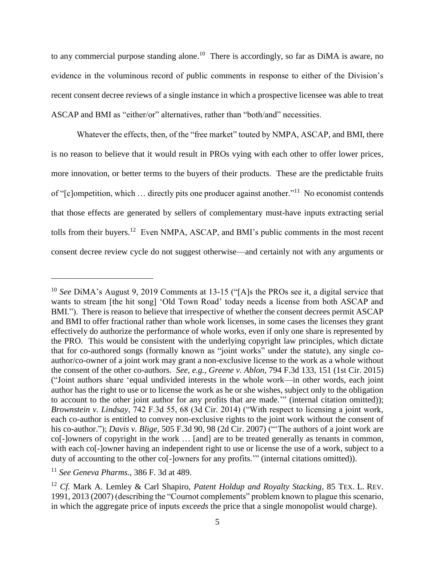to any commercial purpose standing alone.<sup>10</sup> There is accordingly, so far as  $D<sub>i</sub>MA$  is aware, no evidence in the voluminous record of public comments in response to either of the Division's recent consent decree reviews of a single instance in which a prospective licensee was able to treat ASCAP and BMI as "either/or" alternatives, rather than "both/and" necessities.

Whatever the effects, then, of the "free market" touted by NMPA, ASCAP, and BMI, there is no reason to believe that it would result in PROs vying with each other to offer lower prices, more innovation, or better terms to the buyers of their products. These are the predictable fruits of "[c]ompetition, which … directly pits one producer against another."11 No economist contends that those effects are generated by sellers of complementary must-have inputs extracting serial tolls from their buyers.12 Even NMPA, ASCAP, and BMI's public comments in the most recent consent decree review cycle do not suggest otherwise—and certainly not with any arguments or

<sup>11</sup>*See Geneva Pharms.*, 386 F. 3d at 489.

<sup>10</sup>*See* DiMA's August 9, 2019 Comments at 13-15 ("[A]s the PROs see it, a digital service that wants to stream [the hit song] 'Old Town Road' today needs a license from both ASCAP and BMI."). There is reason to believe that irrespective of whether the consent decrees permit ASCAP and BMI to offer fractional rather than whole work licenses, in some cases the licenses they grant effectively do authorize the performance of whole works, even if only one share is represented by the PRO. This would be consistent with the underlying copyright law principles, which dictate that for co-authored songs (formally known as "joint works" under the statute), any single coauthor/co-owner of a joint work may grant a non-exclusive license to the work as a whole without the consent of the other co-authors. *See, e.g.*, *Greene v. Ablon*, 794 F.3d 133, 151 (1st Cir. 2015) ("Joint authors share 'equal undivided interests in the whole work—in other words, each joint author has the right to use or to license the work as he or she wishes, subject only to the obligation to account to the other joint author for any profits that are made.'" (internal citation omitted)); *Brownstein v. Lindsay*, 742 F.3d 55, 68 (3d Cir. 2014) ("With respect to licensing a joint work, each co-author is entitled to convey non-exclusive rights to the joint work without the consent of his co-author."); *Davis v. Blige*, 505 F.3d 90, 98 (2d Cir. 2007) ("The authors of a joint work are co[-]owners of copyright in the work … [and] are to be treated generally as tenants in common, with each co<sup>[-</sup>]owner having an independent right to use or license the use of a work, subject to a duty of accounting to the other co<sup>[</sup>-]owners for any profits." (internal citations omitted)).

<sup>12</sup>*Cf.* Mark A. Lemley & Carl Shapiro, *Patent Holdup and Royalty Stacking*, 85 TEX. L. REV. 1991, 2013 (2007) (describing the "Cournot complements" problem known to plague this scenario, in which the aggregate price of inputs *exceeds* the price that a single monopolist would charge).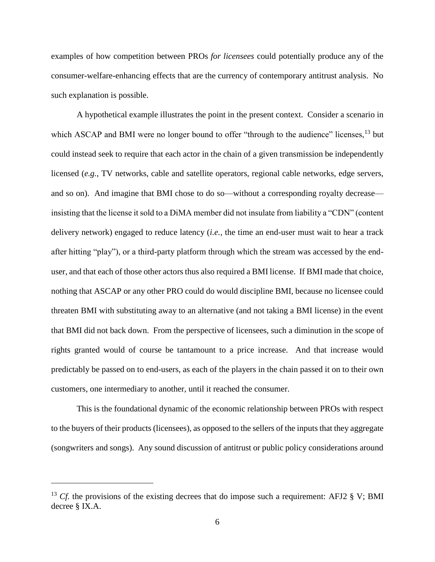examples of how competition between PROs *for licensees* could potentially produce any of the consumer-welfare-enhancing effects that are the currency of contemporary antitrust analysis. No such explanation is possible.

A hypothetical example illustrates the point in the present context. Consider a scenario in which ASCAP and BMI were no longer bound to offer "through to the audience" licenses,  $^{13}$  but could instead seek to require that each actor in the chain of a given transmission be independently licensed (*e.g.*, TV networks, cable and satellite operators, regional cable networks, edge servers, and so on). And imagine that BMI chose to do so—without a corresponding royalty decrease insisting that the license itsold to a DiMA member did not insulate from liability a "CDN" (content delivery network) engaged to reduce latency (*i.e.*, the time an end-user must wait to hear a track after hitting "play"), or a third-party platform through which the stream was accessed by the enduser, and that each of those other actors thus also required a BMI license. If BMI made that choice, nothing that ASCAP or any other PRO could do would discipline BMI, because no licensee could threaten BMI with substituting away to an alternative (and not taking a BMI license) in the event that BMI did not back down. From the perspective of licensees, such a diminution in the scope of rights granted would of course be tantamount to a price increase. And that increase would predictably be passed on to end-users, as each of the players in the chain passed it on to their own customers, one intermediary to another, until it reached the consumer.

This is the foundational dynamic of the economic relationship between PROs with respect to the buyers of their products (licensees), as opposed to the sellers of the inputs that they aggregate (songwriters and songs). Any sound discussion of antitrust or public policy considerations around

<sup>&</sup>lt;sup>13</sup> Cf. the provisions of the existing decrees that do impose such a requirement: AFJ2  $\S$  V; BMI decree § IX.A.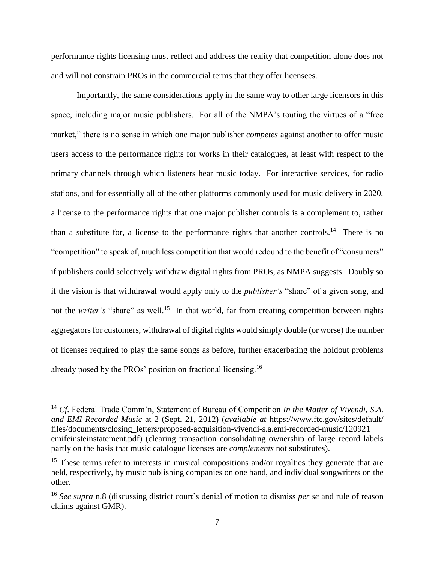performance rights licensing must reflect and address the reality that competition alone does not and will not constrain PROs in the commercial terms that they offer licensees.

Importantly, the same considerations apply in the same way to other large licensors in this space, including major music publishers. For all of the NMPA's touting the virtues of a "free market," there is no sense in which one major publisher *competes* against another to offer music users access to the performance rights for works in their catalogues, at least with respect to the primary channels through which listeners hear music today. For interactive services, for radio stations, and for essentially all of the other platforms commonly used for music delivery in 2020, a license to the performance rights that one major publisher controls is a complement to, rather than a substitute for, a license to the performance rights that another controls.<sup>14</sup> There is no "competition" to speak of, much less competition that would redound to the benefit of "consumers" if publishers could selectively withdraw digital rights from PROs, as NMPA suggests. Doubly so if the vision is that withdrawal would apply only to the *publisher's* "share" of a given song, and not the *writer's* "share" as well.<sup>15</sup> In that world, far from creating competition between rights aggregators for customers, withdrawal of digital rights would simply double (or worse) the number of licenses required to play the same songs as before, further exacerbating the holdout problems already posed by the PROs' position on fractional licensing.<sup>16</sup>

<sup>14</sup>*Cf.* Federal Trade Comm'n, Statement of Bureau of Competition *In the Matter of Vivendi, S.A. and EMI Recorded Music* at 2 (Sept. 21, 2012) (*available at* https://www.ftc.gov/sites/default/ files/documents/closing\_letters/proposed-acquisition-vivendi-s.a.emi-recorded-music/120921 emifeinsteinstatement.pdf) (clearing transaction consolidating ownership of large record labels partly on the basis that music catalogue licenses are *complements* not substitutes).

<sup>&</sup>lt;sup>15</sup> These terms refer to interests in musical compositions and/or royalties they generate that are held, respectively, by music publishing companies on one hand, and individual songwriters on the other.

<sup>16</sup>*See supra* n.8 (discussing district court's denial of motion to dismiss *per se* and rule of reason claims against GMR).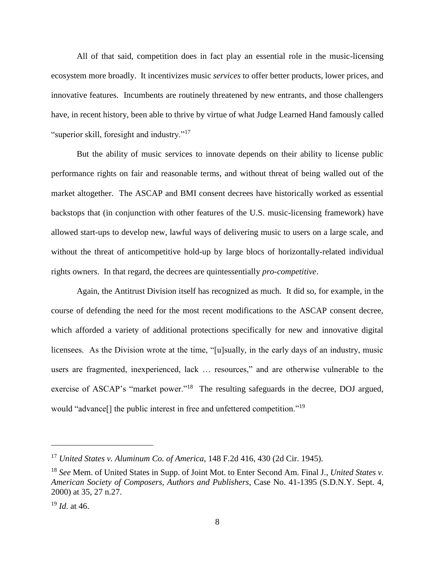All of that said, competition does in fact play an essential role in the music-licensing ecosystem more broadly. It incentivizes music *services* to offer better products, lower prices, and innovative features. Incumbents are routinely threatened by new entrants, and those challengers have, in recent history, been able to thrive by virtue of what Judge Learned Hand famously called "superior skill, foresight and industry."<sup>17</sup>

 But the ability of music services to innovate depends on their ability to license public market altogether. The ASCAP and BMI consent decrees have historically worked as essential allowed start-ups to develop new, lawful ways of delivering music to users on a large scale, and without the threat of anticompetitive hold-up by large blocs of horizontally-related individual All of that said, competition does in fact play an essential role in the music-licensing<br>em more broadly. It incentivizes music *services* to offer better products, lower prices, and<br>ive features. Incumbents are routinely performance rights on fair and reasonable terms, and without threat of being walled out of the backstops that (in conjunction with other features of the U.S. music-licensing framework) have rights owners. In that regard, the decrees are quintessentially *pro-competitive*.

 Again, the Antitrust Division itself has recognized as much. It did so, for example, in the course of defending the need for the most recent modifications to the ASCAP consent decree, which afforded a variety of additional protections specifically for new and innovative digital licensees. As the Division wrote at the time, "[u]sually, in the early days of an industry, music users are fragmented, inexperienced, lack … resources," and are otherwise vulnerable to the exercise of ASCAP's "market power."<sup>18</sup> The resulting safeguards in the decree, DOJ argued, would "advance[] the public interest in free and unfettered competition."<sup>19</sup>

<sup>17</sup>*United States v. Aluminum Co. of America*, 148 F.2d 416, 430 (2d Cir. 1945).

<sup>18</sup>*See* Mem. of United States in Supp. of Joint Mot. to Enter Second Am. Final J., *United States v. American Society of Composers, Authors and Publishers*, Case No. 41-1395 (S.D.N.Y. Sept. 4, 2000) at 35, 27 n.27.

<sup>19</sup>*Id*. at 46.